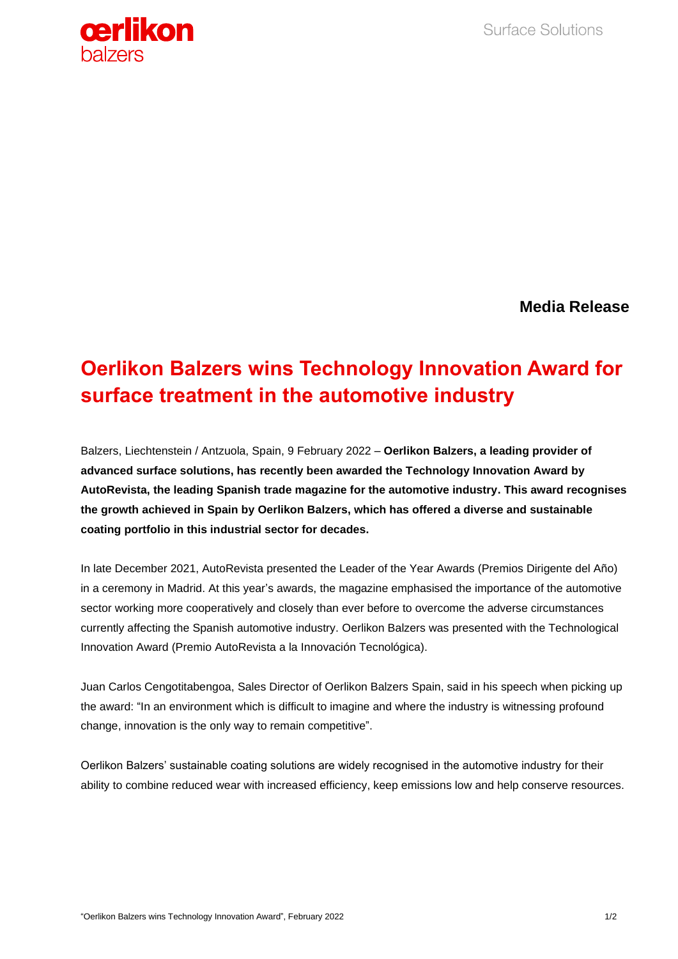

**Media Release**

## **Oerlikon Balzers wins Technology Innovation Award for surface treatment in the automotive industry**

Balzers, Liechtenstein / Antzuola, Spain, 9 February 2022 – **Oerlikon Balzers, a leading provider of advanced surface solutions, has recently been awarded the Technology Innovation Award by AutoRevista, the leading Spanish trade magazine for the automotive industry. This award recognises the growth achieved in Spain by Oerlikon Balzers, which has offered a diverse and sustainable coating portfolio in this industrial sector for decades.**

In late December 2021, AutoRevista presented the Leader of the Year Awards (Premios Dirigente del Año) in a ceremony in Madrid. At this year's awards, the magazine emphasised the importance of the automotive sector working more cooperatively and closely than ever before to overcome the adverse circumstances currently affecting the Spanish automotive industry. Oerlikon Balzers was presented with the Technological Innovation Award (Premio AutoRevista a la Innovación Tecnológica).

Juan Carlos Cengotitabengoa, Sales Director of Oerlikon Balzers Spain, said in his speech when picking up the award: "In an environment which is difficult to imagine and where the industry is witnessing profound change, innovation is the only way to remain competitive".

Oerlikon Balzers' sustainable coating solutions are widely recognised in the automotive industry for their ability to combine reduced wear with increased efficiency, keep emissions low and help conserve resources.